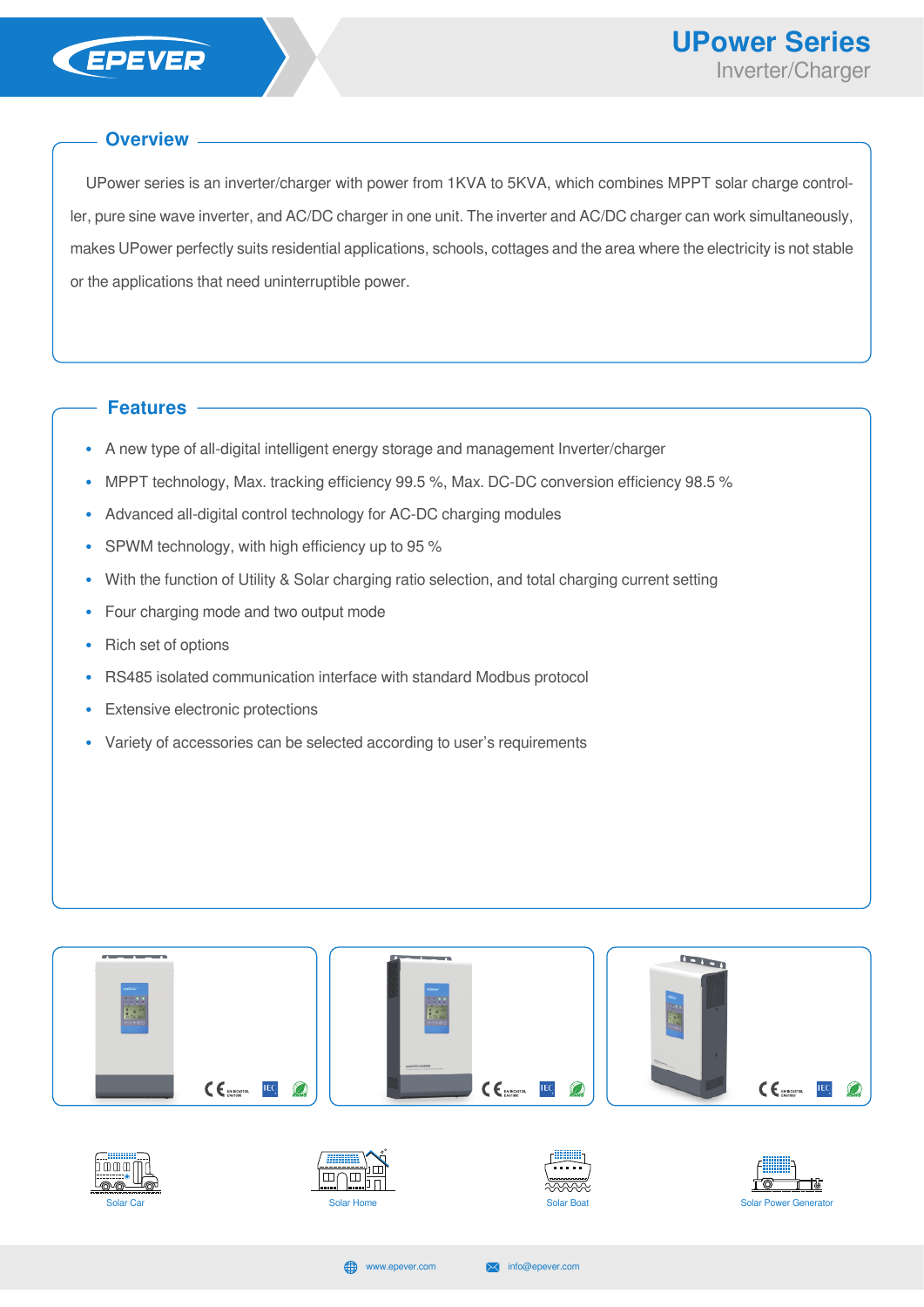

## **Overview**

UPower series is an inverter/charger with power from 1KVA to 5KVA, which combines MPPT solar charge controller, pure sine wave inverter, and AC/DC charger in one unit. The inverter and AC/DC charger can work simultaneously, makes UPower perfectly suits residential applications, schools, cottages and the area where the electricity is not stable or the applications that need uninterruptible power.

## **Features**

- **•** A new type of all-digital intelligent energy storage and management Inverter/charger
- **•** MPPT technology, Max. tracking efficiency 99.5 %, Max. DC-DC conversion efficiency 98.5 %
- **•** Advanced all-digital control technology for AC-DC charging modules
- **•** SPWM technology, with high efficiency up to 95 %
- **•** With the function of Utility & Solar charging ratio selection, and total charging current setting
- **•** Four charging mode and two output mode
- **•** Rich set of options
- **•** RS485 isolated communication interface with standard Modbus protocol
- **•** Extensive electronic protections
- **•** Variety of accessories can be selected according to user's requirements

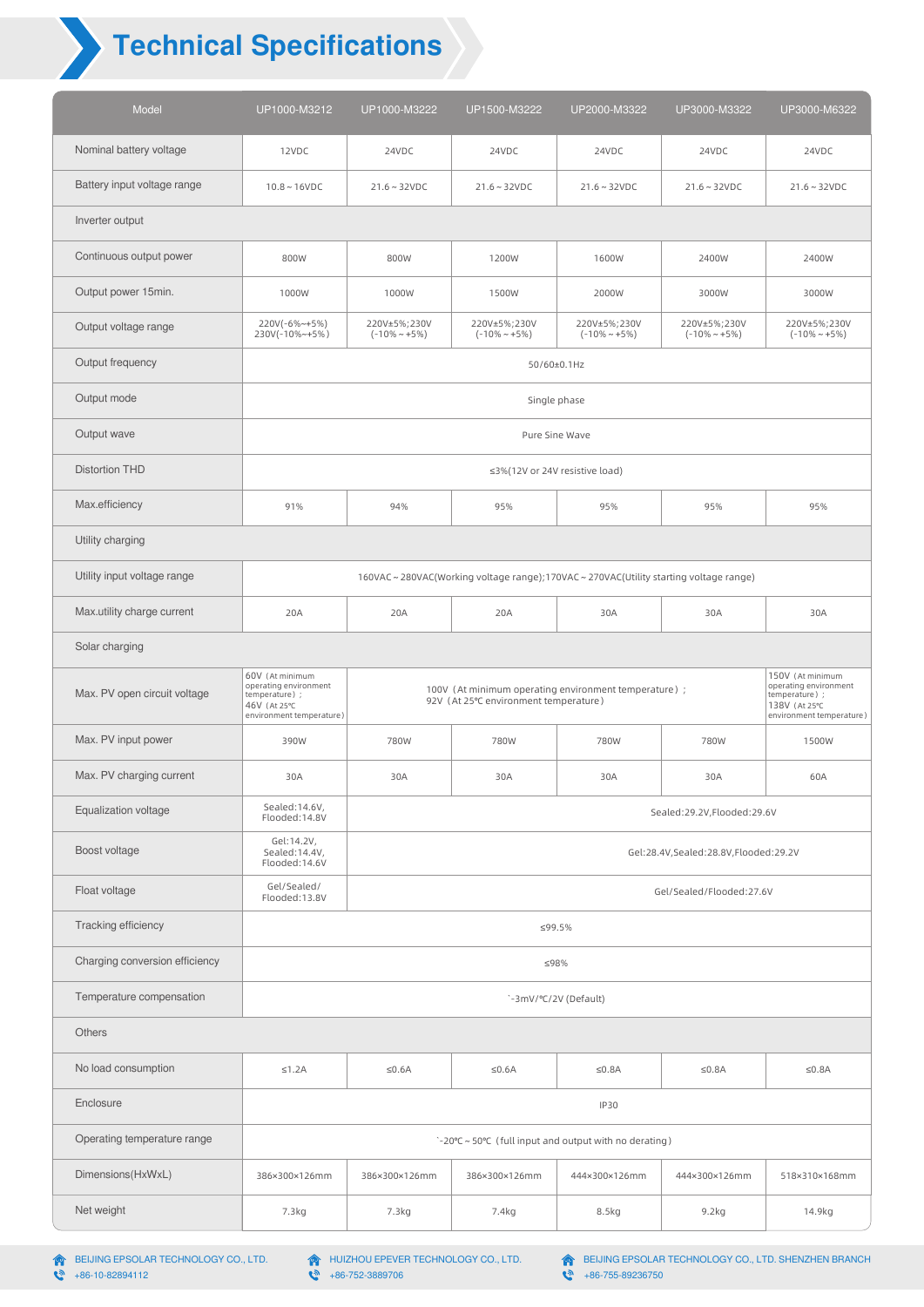## **Technical Specifications**

| Model                          | UP1000-M3212                                                                           | UP1000-M3222                        | UP1500-M3222                                                                                                                                                                                                                                                                             | UP2000-M3322                        | UP3000-M3322                         | UP3000-M6322                        |  |  |  |  |
|--------------------------------|----------------------------------------------------------------------------------------|-------------------------------------|------------------------------------------------------------------------------------------------------------------------------------------------------------------------------------------------------------------------------------------------------------------------------------------|-------------------------------------|--------------------------------------|-------------------------------------|--|--|--|--|
| Nominal battery voltage        | 12VDC                                                                                  | 24VDC                               | 24VDC                                                                                                                                                                                                                                                                                    | 24VDC                               | 24VDC                                | 24VDC                               |  |  |  |  |
| Battery input voltage range    | $10.8 - 16$ VDC                                                                        | $21.6 \sim 32VDC$                   | $21.6 - 32VDC$                                                                                                                                                                                                                                                                           | $21.6 \sim 32$ VDC                  | $21.6 \sim 32VDC$                    | $21.6 \sim 32VDC$                   |  |  |  |  |
| Inverter output                |                                                                                        |                                     |                                                                                                                                                                                                                                                                                          |                                     |                                      |                                     |  |  |  |  |
| Continuous output power        | 800W                                                                                   | 800W                                | 1200W                                                                                                                                                                                                                                                                                    | 1600W                               | 2400W                                | 2400W                               |  |  |  |  |
| Output power 15min.            | 1000W                                                                                  | 1000W                               | 1500W                                                                                                                                                                                                                                                                                    | 2000W                               | 3000W                                | 3000W                               |  |  |  |  |
| Output voltage range           | 220V(-6%~+5%)<br>230V(-10%~+5%)                                                        | 220V±5%;230V<br>$(-10\% \sim +5\%)$ | 220V±5%;230V<br>$(-10\% \sim +5\%)$                                                                                                                                                                                                                                                      | 220V±5%;230V<br>$(-10\% \sim +5\%)$ | 220V±5%;230V<br>$(-10\% \sim +5\%)$  | 220V±5%;230V<br>$(-10\% \sim +5\%)$ |  |  |  |  |
| Output frequency               | 50/60±0.1Hz                                                                            |                                     |                                                                                                                                                                                                                                                                                          |                                     |                                      |                                     |  |  |  |  |
| Output mode                    | Single phase                                                                           |                                     |                                                                                                                                                                                                                                                                                          |                                     |                                      |                                     |  |  |  |  |
| Output wave                    | Pure Sine Wave                                                                         |                                     |                                                                                                                                                                                                                                                                                          |                                     |                                      |                                     |  |  |  |  |
| <b>Distortion THD</b>          | ≤3%(12V or 24V resistive load)                                                         |                                     |                                                                                                                                                                                                                                                                                          |                                     |                                      |                                     |  |  |  |  |
| Max.efficiency                 | 91%                                                                                    | 94%                                 | 95%                                                                                                                                                                                                                                                                                      | 95%                                 | 95%                                  | 95%                                 |  |  |  |  |
| Utility charging               |                                                                                        |                                     |                                                                                                                                                                                                                                                                                          |                                     |                                      |                                     |  |  |  |  |
| Utility input voltage range    | 160VAC ~ 280VAC(Working voltage range);170VAC ~ 270VAC(Utility starting voltage range) |                                     |                                                                                                                                                                                                                                                                                          |                                     |                                      |                                     |  |  |  |  |
| Max.utility charge current     | 20A                                                                                    | 20A                                 | 20A                                                                                                                                                                                                                                                                                      | 30A                                 | 30A                                  | 30A                                 |  |  |  |  |
| Solar charging                 |                                                                                        |                                     |                                                                                                                                                                                                                                                                                          |                                     |                                      |                                     |  |  |  |  |
|                                |                                                                                        |                                     | 60V (At minimum<br>150V (At minimum<br>operating environment<br>operating environment<br>100V (At minimum operating environment temperature) ;<br>temperature) ;<br>temperature) ;<br>92V (At 25°C environment temperature)<br>46V (At 25°C<br>138V (At 25°C<br>environment temperature) |                                     |                                      |                                     |  |  |  |  |
| Max. PV open circuit voltage   |                                                                                        |                                     |                                                                                                                                                                                                                                                                                          |                                     |                                      | environment temperature)            |  |  |  |  |
| Max. PV input power            | 390W                                                                                   | 780W                                | 780W                                                                                                                                                                                                                                                                                     | 780W                                | 780W                                 | 1500W                               |  |  |  |  |
| Max. PV charging current       | 30A                                                                                    | 30A                                 | 30A                                                                                                                                                                                                                                                                                      | 30A                                 | 30A                                  | 60A                                 |  |  |  |  |
| Equalization voltage           | Sealed:14.6V,<br>Flooded:14.8V                                                         |                                     |                                                                                                                                                                                                                                                                                          |                                     | Sealed:29.2V,Flooded:29.6V           |                                     |  |  |  |  |
| Boost voltage                  | Gel:14.2V,<br>Sealed:14.4V,<br>Flooded:14.6V                                           |                                     |                                                                                                                                                                                                                                                                                          |                                     | Gel:28.4V,Sealed:28.8V,Flooded:29.2V |                                     |  |  |  |  |
| Float voltage                  | Gel/Sealed/<br>Flooded:13.8V                                                           |                                     |                                                                                                                                                                                                                                                                                          |                                     | Gel/Sealed/Flooded:27.6V             |                                     |  |  |  |  |
| Tracking efficiency            |                                                                                        |                                     | ≤99.5%                                                                                                                                                                                                                                                                                   |                                     |                                      |                                     |  |  |  |  |
| Charging conversion efficiency |                                                                                        |                                     | ≤98%                                                                                                                                                                                                                                                                                     |                                     |                                      |                                     |  |  |  |  |
| Temperature compensation       |                                                                                        |                                     |                                                                                                                                                                                                                                                                                          | `-3mV/°C/2V (Default)               |                                      |                                     |  |  |  |  |
| <b>Others</b>                  |                                                                                        |                                     |                                                                                                                                                                                                                                                                                          |                                     |                                      |                                     |  |  |  |  |
| No load consumption            | $\leq 1.2A$                                                                            | $\leq 0.6A$                         | $≤0.6A$                                                                                                                                                                                                                                                                                  | $≤0.8A$                             | $\leq 0.8A$                          | $≤0.8A$                             |  |  |  |  |
| Enclosure                      |                                                                                        |                                     |                                                                                                                                                                                                                                                                                          | <b>IP30</b>                         |                                      |                                     |  |  |  |  |
| Operating temperature range    |                                                                                        |                                     | `-20°C ~ 50°C (full input and output with no derating)                                                                                                                                                                                                                                   |                                     |                                      |                                     |  |  |  |  |
| Dimensions(HxWxL)              | 386×300×126mm                                                                          | 386×300×126mm                       | 386×300×126mm                                                                                                                                                                                                                                                                            | 444×300×126mm                       | 444×300×126mm                        | 518×310×168mm                       |  |  |  |  |

BEIJING EPSOLAR TECHNOLOGY CO., LTD.

+86-10-82894112

BEIJING EPSOLAR TECHNOLOGY CO., LTD. SHENZHEN BRANCH +86-755-89236750